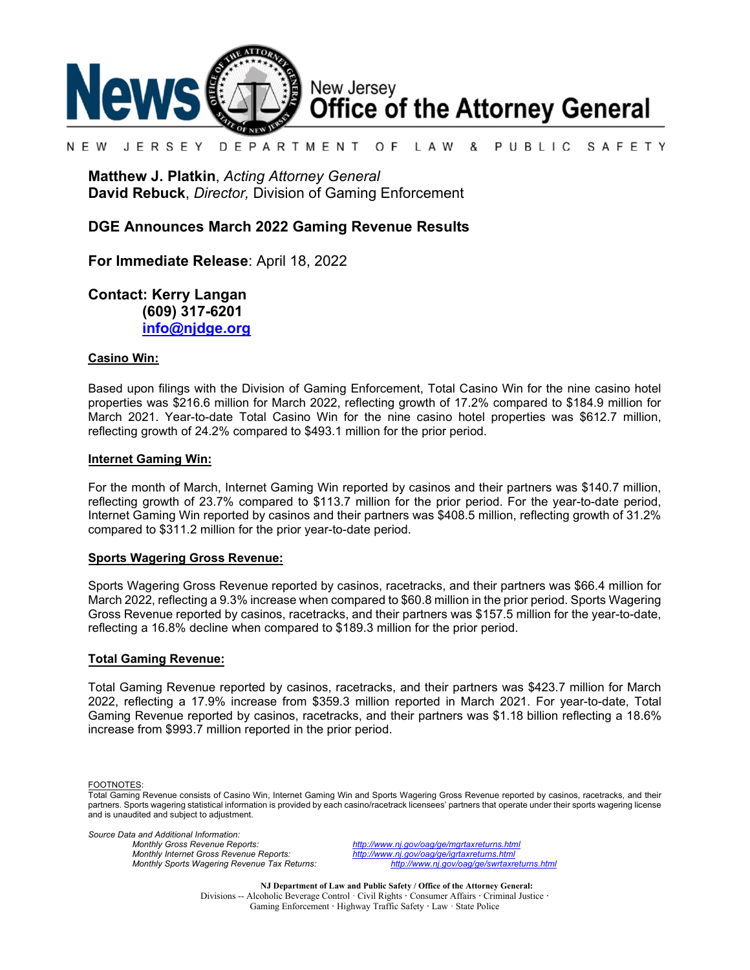

#### N F W JFRSFY DEPARTMENT O F L A W & PUBLIC SAFETY

**Matthew J. Platkin**, *Acting Attorney General* **David Rebuck**, *Director,* Division of Gaming Enforcement

### **DGE Announces March 2022 Gaming Revenue Results**

**For Immediate Release**: April 18, 2022

**Contact: Kerry Langan (609) 317-6201 [info@njdge.org](mailto:info@njdge.org)**

### **Casino Win:**

Based upon filings with the Division of Gaming Enforcement, Total Casino Win for the nine casino hotel properties was \$216.6 million for March 2022, reflecting growth of 17.2% compared to \$184.9 million for March 2021. Year-to-date Total Casino Win for the nine casino hotel properties was \$612.7 million, reflecting growth of 24.2% compared to \$493.1 million for the prior period.

#### **Internet Gaming Win:**

For the month of March, Internet Gaming Win reported by casinos and their partners was \$140.7 million, reflecting growth of 23.7% compared to \$113.7 million for the prior period. For the year-to-date period, Internet Gaming Win reported by casinos and their partners was \$408.5 million, reflecting growth of 31.2% compared to \$311.2 million for the prior year-to-date period.

### **Sports Wagering Gross Revenue:**

Sports Wagering Gross Revenue reported by casinos, racetracks, and their partners was \$66.4 million for March 2022, reflecting a 9.3% increase when compared to \$60.8 million in the prior period. Sports Wagering Gross Revenue reported by casinos, racetracks, and their partners was \$157.5 million for the year-to-date, reflecting a 16.8% decline when compared to \$189.3 million for the prior period.

#### **Total Gaming Revenue:**

Total Gaming Revenue reported by casinos, racetracks, and their partners was \$423.7 million for March 2022, reflecting a 17.9% increase from \$359.3 million reported in March 2021. For year-to-date, Total Gaming Revenue reported by casinos, racetracks, and their partners was \$1.18 billion reflecting a 18.6% increase from \$993.7 million reported in the prior period.

FOOTNOTES:

*Source Data and Additional Information:*

*Monthly Gross Revenue Reports: <http://www.nj.gov/oag/ge/mgrtaxreturns.html> Monthly Sports Wagering Revenue Tax Returns:* 

*Monthly Internet Gross Revenue Reports: <http://www.nj.gov/oag/ge/igrtaxreturns.html>*

**NJ Department of Law and Public Safety / Office of the Attorney General:** Divisions -- Alcoholic Beverage Control · Civil Rights **·** Consumer Affairs **·** Criminal Justice **·**  Gaming Enforcement **·** Highway Traffic Safety **·** Law · State Police

Total Gaming Revenue consists of Casino Win, Internet Gaming Win and Sports Wagering Gross Revenue reported by casinos, racetracks, and their partners. Sports wagering statistical information is provided by each casino/racetrack licensees' partners that operate under their sports wagering license and is unaudited and subject to adjustment.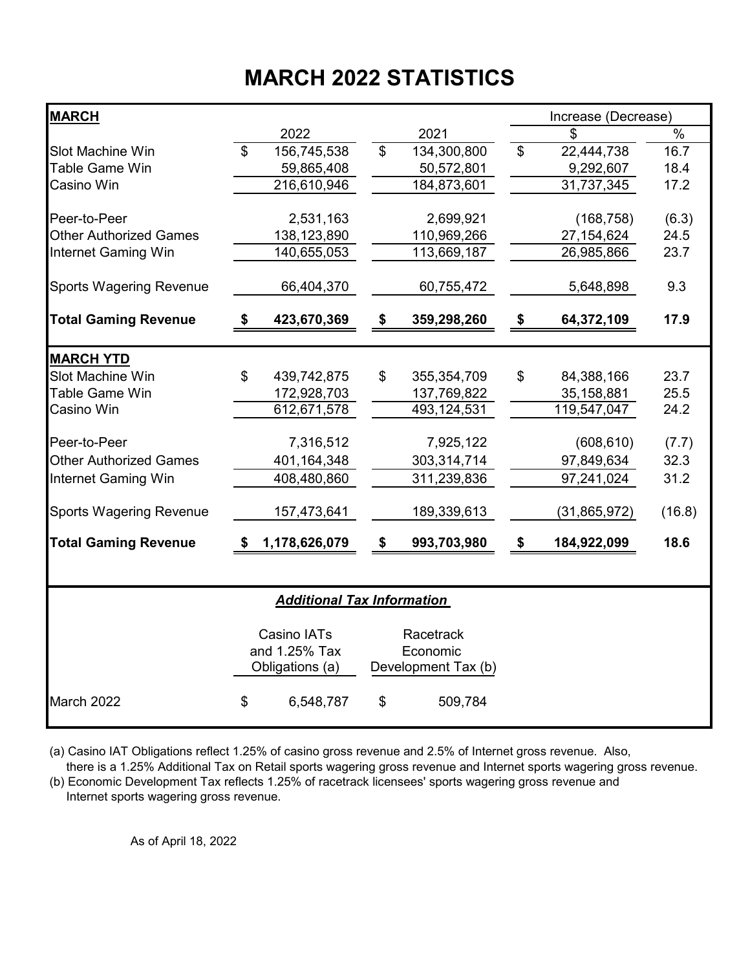# **MARCH 2022 STATISTICS**

| <b>MARCH</b>                                |                |                                   |                          |                     | Increase (Decrease) |               |
|---------------------------------------------|----------------|-----------------------------------|--------------------------|---------------------|---------------------|---------------|
|                                             |                | 2022                              |                          | 2021                | \$                  | $\frac{1}{2}$ |
| <b>Slot Machine Win</b>                     | $\mathfrak{L}$ | 156,745,538                       | $\overline{\mathcal{S}}$ | 134,300,800         | \$<br>22,444,738    | 16.7          |
| Table Game Win                              |                | 59,865,408                        |                          | 50,572,801          | 9,292,607           | 18.4          |
| Casino Win                                  |                | 216,610,946                       |                          | 184,873,601         | 31,737,345          | 17.2          |
| Peer-to-Peer                                |                |                                   |                          |                     |                     |               |
|                                             |                | 2,531,163                         |                          | 2,699,921           | (168, 758)          | (6.3)         |
| <b>Other Authorized Games</b>               |                | 138,123,890                       |                          | 110,969,266         | 27, 154, 624        | 24.5          |
| <b>Internet Gaming Win</b>                  |                | 140,655,053                       |                          | 113,669,187         | 26,985,866          | 23.7          |
| <b>Sports Wagering Revenue</b>              |                | 66,404,370                        |                          | 60,755,472          | 5,648,898           | 9.3           |
| <b>Total Gaming Revenue</b>                 | \$             | 423,670,369                       | \$                       | 359,298,260         | \$<br>64,372,109    | 17.9          |
|                                             |                |                                   |                          |                     |                     |               |
| <b>MARCH YTD</b><br><b>Slot Machine Win</b> | $\mathfrak{L}$ | 439,742,875                       | \$                       | 355, 354, 709       | \$<br>84,388,166    | 23.7          |
| Table Game Win                              |                | 172,928,703                       |                          | 137,769,822         | 35, 158, 881        | 25.5          |
| Casino Win                                  |                | 612,671,578                       |                          | 493,124,531         | 119,547,047         | 24.2          |
|                                             |                |                                   |                          |                     |                     |               |
| Peer-to-Peer                                |                | 7,316,512                         |                          | 7,925,122           | (608, 610)          | (7.7)         |
| <b>Other Authorized Games</b>               |                | 401,164,348                       |                          | 303,314,714         | 97,849,634          | 32.3          |
| <b>Internet Gaming Win</b>                  |                | 408,480,860                       |                          | 311,239,836         | 97,241,024          | 31.2          |
| <b>Sports Wagering Revenue</b>              |                | 157,473,641                       |                          | 189,339,613         | (31, 865, 972)      | (16.8)        |
| <b>Total Gaming Revenue</b>                 | S              | 1,178,626,079                     | \$                       | 993,703,980         | \$<br>184,922,099   | 18.6          |
|                                             |                |                                   |                          |                     |                     |               |
|                                             |                | <b>Additional Tax Information</b> |                          |                     |                     |               |
|                                             |                | Casino IATs                       |                          | Racetrack           |                     |               |
|                                             |                | and 1.25% Tax                     |                          | Economic            |                     |               |
|                                             |                | Obligations (a)                   |                          | Development Tax (b) |                     |               |
| March 2022                                  | \$             | 6,548,787                         | \$                       | 509,784             |                     |               |

(a) Casino IAT Obligations reflect 1.25% of casino gross revenue and 2.5% of Internet gross revenue. Also,

 there is a 1.25% Additional Tax on Retail sports wagering gross revenue and Internet sports wagering gross revenue. (b) Economic Development Tax reflects 1.25% of racetrack licensees' sports wagering gross revenue and

Internet sports wagering gross revenue.

As of April 18, 2022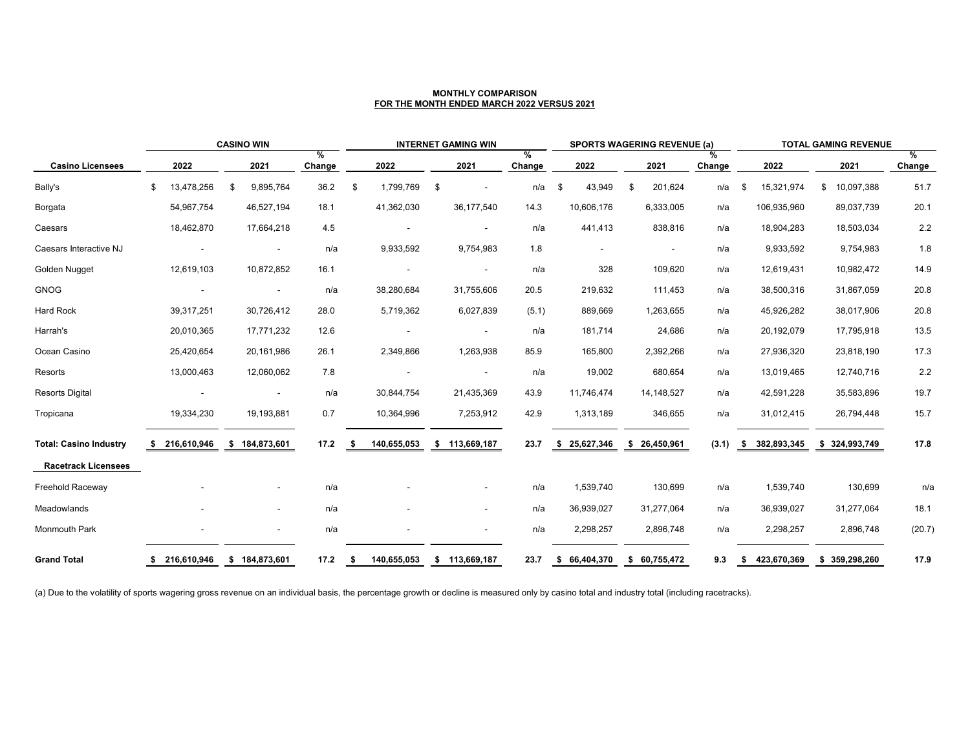|                               |    | <b>CASINO WIN</b> |                |                          | <b>INTERNET GAMING WIN</b> |      |             |    | <b>SPORTS WAGERING REVENUE (a)</b> |                |    |              | <b>TOTAL GAMING REVENUE</b> |              |             |    |             |               |                |             |
|-------------------------------|----|-------------------|----------------|--------------------------|----------------------------|------|-------------|----|------------------------------------|----------------|----|--------------|-----------------------------|--------------|-------------|----|-------------|---------------|----------------|-------------|
| <b>Casino Licensees</b>       |    | 2022              |                | 2021                     | %<br>Change                |      | 2022        |    | 2021                               | $\%$<br>Change |    | 2022         |                             | 2021         | %<br>Change |    | 2022        |               | 2021           | %<br>Change |
| Bally's                       | \$ | 13,478,256        | $\mathfrak{F}$ | 9,895,764                | 36.2                       | \$   | 1,799,769   | \$ | $\overline{\phantom{a}}$           | n/a            | \$ | 43,949       | $\mathfrak{F}$              | 201,624      | n/a         | \$ | 15,321,974  | $\mathcal{L}$ | 10,097,388     | 51.7        |
| Borgata                       |    | 54,967,754        |                | 46,527,194               | 18.1                       |      | 41,362,030  |    | 36,177,540                         | 14.3           |    | 10,606,176   |                             | 6,333,005    | n/a         |    | 106,935,960 |               | 89,037,739     | 20.1        |
| Caesars                       |    | 18,462,870        |                | 17,664,218               | 4.5                        |      |             |    | $\overline{\phantom{a}}$           | n/a            |    | 441,413      |                             | 838,816      | n/a         |    | 18,904,283  |               | 18,503,034     | 2.2         |
| Caesars Interactive NJ        |    |                   |                |                          | n/a                        |      | 9,933,592   |    | 9,754,983                          | 1.8            |    |              |                             |              | n/a         |    | 9,933,592   |               | 9,754,983      | 1.8         |
| Golden Nugget                 |    | 12,619,103        |                | 10,872,852               | 16.1                       |      |             |    | $\sim$                             | n/a            |    | 328          |                             | 109,620      | n/a         |    | 12,619,431  |               | 10,982,472     | 14.9        |
| <b>GNOG</b>                   |    |                   |                | $\overline{\phantom{a}}$ | n/a                        |      | 38,280,684  |    | 31,755,606                         | 20.5           |    | 219,632      |                             | 111,453      | n/a         |    | 38,500,316  |               | 31,867,059     | 20.8        |
| <b>Hard Rock</b>              |    | 39,317,251        |                | 30,726,412               | 28.0                       |      | 5,719,362   |    | 6,027,839                          | (5.1)          |    | 889,669      |                             | 1,263,655    | n/a         |    | 45,926,282  |               | 38,017,906     | 20.8        |
| Harrah's                      |    | 20,010,365        |                | 17,771,232               | 12.6                       |      |             |    | $\blacksquare$                     | n/a            |    | 181,714      |                             | 24,686       | n/a         |    | 20,192,079  |               | 17,795,918     | 13.5        |
| Ocean Casino                  |    | 25,420,654        |                | 20,161,986               | 26.1                       |      | 2,349,866   |    | 1,263,938                          | 85.9           |    | 165,800      |                             | 2,392,266    | n/a         |    | 27,936,320  |               | 23,818,190     | 17.3        |
| Resorts                       |    | 13,000,463        |                | 12,060,062               | 7.8                        |      |             |    | $\sim$                             | n/a            |    | 19,002       |                             | 680,654      | n/a         |    | 13,019,465  |               | 12,740,716     | 2.2         |
| <b>Resorts Digital</b>        |    |                   |                |                          | n/a                        |      | 30,844,754  |    | 21,435,369                         | 43.9           |    | 11,746,474   |                             | 14, 148, 527 | n/a         |    | 42,591,228  |               | 35,583,896     | 19.7        |
| Tropicana                     |    | 19,334,230        |                | 19,193,881               | 0.7                        |      | 10,364,996  |    | 7,253,912                          | 42.9           |    | 1,313,189    |                             | 346,655      | n/a         |    | 31,012,415  |               | 26,794,448     | 15.7        |
| <b>Total: Casino Industry</b> |    | 216,610,946       |                | \$184,873,601            | 17.2                       | - 5  | 140,655,053 |    | \$ 113,669,187                     | 23.7           |    | \$25,627,346 |                             | \$26,450,961 | (3.1)       | \$ | 382,893,345 |               | \$ 324,993,749 | 17.8        |
| <b>Racetrack Licensees</b>    |    |                   |                |                          |                            |      |             |    |                                    |                |    |              |                             |              |             |    |             |               |                |             |
| <b>Freehold Raceway</b>       |    |                   |                |                          | n/a                        |      |             |    |                                    | n/a            |    | 1,539,740    |                             | 130,699      | n/a         |    | 1,539,740   |               | 130,699        | n/a         |
| Meadowlands                   |    |                   |                | $\sim$                   | n/a                        |      |             |    | $\overline{\phantom{a}}$           | n/a            |    | 36,939,027   |                             | 31,277,064   | n/a         |    | 36,939,027  |               | 31,277,064     | 18.1        |
| <b>Monmouth Park</b>          |    | $\blacksquare$    |                | $\sim$                   | n/a                        |      |             |    | $\sim$                             | n/a            |    | 2,298,257    |                             | 2,896,748    | n/a         |    | 2,298,257   |               | 2,896,748      | (20.7)      |
| <b>Grand Total</b>            | -5 | 216,610,946       |                | \$184,873,601            | 17.2                       | - \$ | 140,655,053 |    | \$ 113,669,187                     | 23.7           | \$ | 66,404,370   |                             | \$60,755,472 | 9.3         | \$ | 423,670,369 | \$            | 359,298,260    | 17.9        |

(a) Due to the volatility of sports wagering gross revenue on an individual basis, the percentage growth or decline is measured only by casino total and industry total (including racetracks).

### **MONTHLY COMPARISON FOR THE MONTH ENDED MARCH 2022 VERSUS 2021**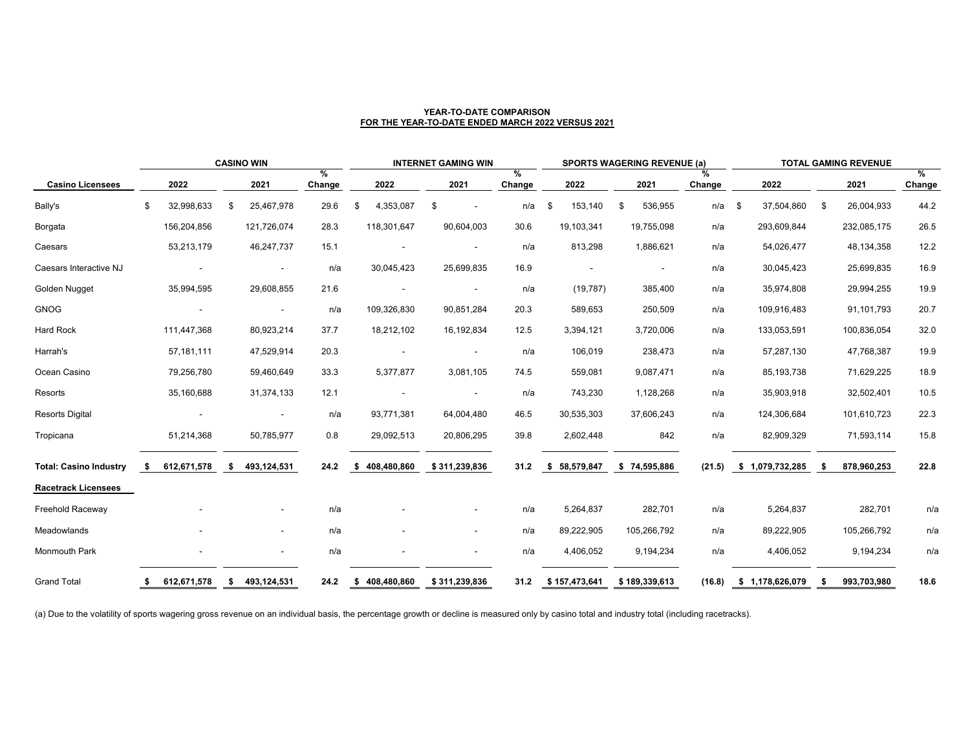| <b>CASINO WIN</b>             |                            |             |              |             |                    | <b>INTERNET GAMING WIN</b> |                                | <b>SPORTS WAGERING REVENUE (a)</b> |                    |               |             | <b>TOTAL GAMING REVENUE</b> |                           |    |             |                       |
|-------------------------------|----------------------------|-------------|--------------|-------------|--------------------|----------------------------|--------------------------------|------------------------------------|--------------------|---------------|-------------|-----------------------------|---------------------------|----|-------------|-----------------------|
| <b>Casino Licensees</b>       |                            | 2022        |              | 2021        | %<br><b>Change</b> | 2022                       | 2021                           | %<br><b>Change</b>                 | 2022               | 2021          | %<br>Change |                             | 2022                      |    | 2021        | $\%$<br><b>Change</b> |
| Bally's                       | $\boldsymbol{\mathsf{\$}}$ | 32,998,633  | $\mathbb{S}$ | 25,467,978  | 29.6               | 4,353,087<br>\$            | \$<br>$\overline{\phantom{a}}$ | n/a                                | 153,140<br>\$      | 536,955<br>\$ | n/a         | \$                          | 37,504,860                | \$ | 26,004,933  | 44.2                  |
| Borgata                       |                            | 156,204,856 |              | 121,726,074 | 28.3               | 118,301,647                | 90,604,003                     | 30.6                               | 19,103,341         | 19,755,098    | n/a         |                             | 293,609,844               |    | 232,085,175 | 26.5                  |
| Caesars                       |                            | 53,213,179  |              | 46,247,737  | 15.1               | $\sim$                     |                                | n/a                                | 813,298            | 1,886,621     | n/a         |                             | 54,026,477                |    | 48,134,358  | 12.2                  |
| Caesars Interactive NJ        |                            |             |              | $\sim$      | n/a                | 30,045,423                 | 25,699,835                     | 16.9                               |                    |               | n/a         |                             | 30,045,423                |    | 25,699,835  | 16.9                  |
| Golden Nugget                 |                            | 35,994,595  |              | 29,608,855  | 21.6               |                            |                                | n/a                                | (19, 787)          | 385,400       | n/a         |                             | 35,974,808                |    | 29,994,255  | 19.9                  |
| <b>GNOG</b>                   |                            |             |              | $\sim$      | n/a                | 109,326,830                | 90,851,284                     | 20.3                               | 589,653            | 250,509       | n/a         |                             | 109,916,483               |    | 91,101,793  | 20.7                  |
| <b>Hard Rock</b>              |                            | 111,447,368 |              | 80,923,214  | 37.7               | 18,212,102                 | 16,192,834                     | 12.5                               | 3,394,121          | 3,720,006     | n/a         |                             | 133,053,591               |    | 100,836,054 | 32.0                  |
| Harrah's                      |                            | 57,181,111  |              | 47,529,914  | 20.3               | $\overline{\phantom{a}}$   | $\blacksquare$                 | n/a                                | 106,019            | 238,473       | n/a         |                             | 57,287,130                |    | 47,768,387  | 19.9                  |
| Ocean Casino                  |                            | 79,256,780  |              | 59,460,649  | 33.3               | 5,377,877                  | 3,081,105                      | 74.5                               | 559,081            | 9,087,471     | n/a         |                             | 85, 193, 738              |    | 71,629,225  | 18.9                  |
| Resorts                       |                            | 35,160,688  |              | 31,374,133  | 12.1               | $\sim$                     |                                | n/a                                | 743,230            | 1,128,268     | n/a         |                             | 35,903,918                |    | 32,502,401  | 10.5                  |
| <b>Resorts Digital</b>        |                            |             |              |             | n/a                | 93,771,381                 | 64,004,480                     | 46.5                               | 30,535,303         | 37,606,243    | n/a         |                             | 124,306,684               |    | 101,610,723 | 22.3                  |
| Tropicana                     |                            | 51,214,368  |              | 50,785,977  | 0.8                | 29,092,513                 | 20,806,295                     | 39.8                               | 2,602,448          | 842           | n/a         |                             | 82,909,329                |    | 71,593,114  | 15.8                  |
| <b>Total: Casino Industry</b> | -S                         | 612,671,578 | SS.          | 493,124,531 | 24.2               | 408,480,860<br>-\$         | \$311,239,836                  | 31.2                               | \$ 58,579,847      | \$74,595,886  |             |                             | $(21.5)$ \$ 1,079,732,285 | \$ | 878,960,253 | 22.8                  |
| <b>Racetrack Licensees</b>    |                            |             |              |             |                    |                            |                                |                                    |                    |               |             |                             |                           |    |             |                       |
| <b>Freehold Raceway</b>       |                            |             |              | $\sim$      | n/a                |                            | $\overline{\phantom{a}}$       | n/a                                | 5,264,837          | 282,701       | n/a         |                             | 5,264,837                 |    | 282,701     | n/a                   |
| Meadowlands                   |                            |             |              | $\sim$      | n/a                | $\sim$                     | $\blacksquare$                 | n/a                                | 89,222,905         | 105,266,792   | n/a         |                             | 89,222,905                |    | 105,266,792 | n/a                   |
| <b>Monmouth Park</b>          |                            |             |              | $\sim$      | n/a                | $\sim$                     | $\overline{\phantom{a}}$       | n/a                                | 4,406,052          | 9,194,234     | n/a         |                             | 4,406,052                 |    | 9,194,234   | n/a                   |
| <b>Grand Total</b>            | -SS                        | 612,671,578 | S,           | 493,124,531 | 24.2               | \$408,480,860              | \$311,239,836                  |                                    | 31.2 \$157,473,641 | \$189,339,613 |             |                             | $(16.8)$ \$ 1,178,626,079 | \$ | 993,703,980 | 18.6                  |

(a) Due to the volatility of sports wagering gross revenue on an individual basis, the percentage growth or decline is measured only by casino total and industry total (including racetracks).

### **YEAR-TO-DATE COMPARISON FOR THE YEAR-TO-DATE ENDED MARCH 2022 VERSUS 2021**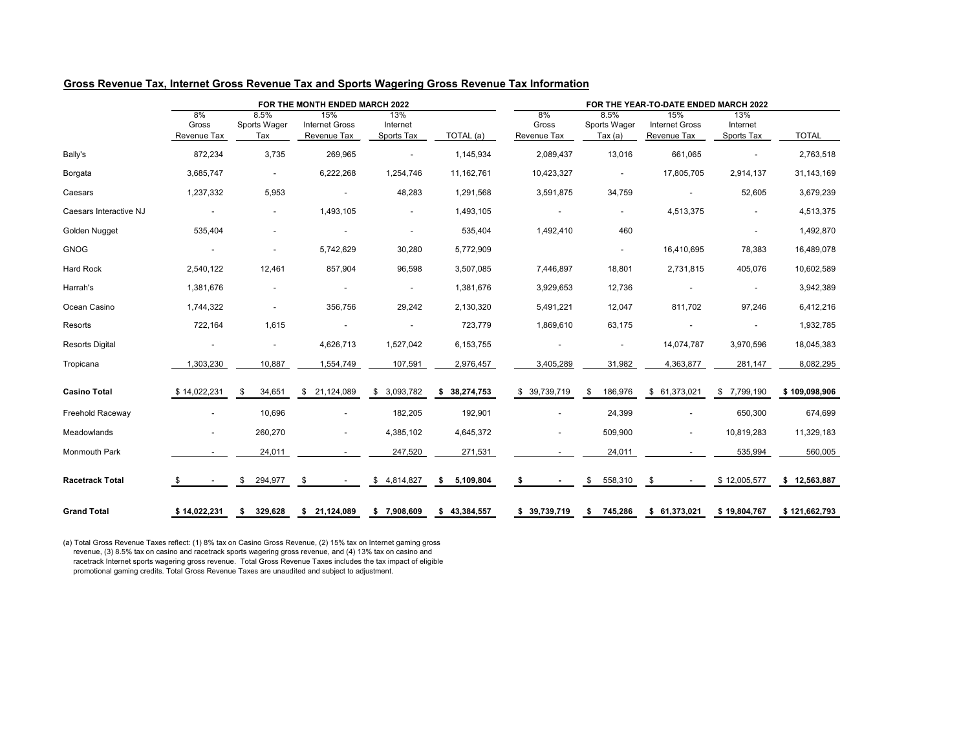## **Gross Revenue Tax, Internet Gross Revenue Tax and Sports Wagering Gross Revenue Tax Information**

|                         |                                   |                                    | FOR THE MONTH ENDED MARCH 2022              |                               |                 | FOR THE YEAR-TO-DATE ENDED MARCH 2022 |                                       |                                             |                               |               |  |  |  |
|-------------------------|-----------------------------------|------------------------------------|---------------------------------------------|-------------------------------|-----------------|---------------------------------------|---------------------------------------|---------------------------------------------|-------------------------------|---------------|--|--|--|
|                         | 8%<br>Gross<br><b>Revenue Tax</b> | 8.5%<br><b>Sports Wager</b><br>Тах | 15%<br><b>Internet Gross</b><br>Revenue Tax | 13%<br>Internet<br>Sports Tax | TOTAL (a)       | 8%<br>Gross<br>Revenue Tax            | 8.5%<br>Sports Wager<br>Tax $(a)$     | 15%<br><b>Internet Gross</b><br>Revenue Tax | 13%<br>Internet<br>Sports Tax | <b>TOTAL</b>  |  |  |  |
| Bally's                 | 872,234                           | 3,735                              | 269,965                                     | $\sim$                        | 1,145,934       | 2,089,437                             | 13,016                                | 661,065                                     | $\overline{\phantom{a}}$      | 2,763,518     |  |  |  |
| Borgata                 | 3,685,747                         | $\blacksquare$                     | 6,222,268                                   | 1,254,746                     | 11,162,761      | 10,423,327                            | $\sim$                                | 17,805,705                                  | 2,914,137                     | 31,143,169    |  |  |  |
| Caesars                 | 1,237,332                         | 5,953                              |                                             | 48,283                        | 1,291,568       | 3,591,875                             | 34,759                                |                                             | 52,605                        | 3,679,239     |  |  |  |
| Caesars Interactive NJ  | $\sim$                            | ۰.                                 | 1,493,105                                   | $\sim$                        | 1,493,105       | $\sim$                                | $\sim$                                | 4,513,375                                   | $\sim$                        | 4,513,375     |  |  |  |
| Golden Nugget           | 535,404                           | ۰                                  |                                             | $\sim$                        | 535,404         | 1,492,410                             | 460                                   |                                             | $\sim$                        | 1,492,870     |  |  |  |
| <b>GNOG</b>             | $\sim$                            |                                    | 5,742,629                                   | 30,280                        | 5,772,909       |                                       | $\sim$                                | 16,410,695                                  | 78,383                        | 16,489,078    |  |  |  |
| <b>Hard Rock</b>        | 2,540,122                         | 12,461                             | 857,904                                     | 96,598                        | 3,507,085       | 7,446,897                             | 18,801                                | 2,731,815                                   | 405,076                       | 10,602,589    |  |  |  |
| Harrah's                | 1,381,676                         | $\blacksquare$                     |                                             | $\sim$                        | 1,381,676       | 3,929,653                             | 12,736                                |                                             | $\blacksquare$                | 3,942,389     |  |  |  |
| Ocean Casino            | 1,744,322                         | $\sim$                             | 356,756                                     | 29,242                        | 2,130,320       | 5,491,221                             | 12,047                                | 811,702                                     | 97,246                        | 6,412,216     |  |  |  |
| Resorts                 | 722,164                           | 1,615                              |                                             |                               | 723,779         | 1,869,610                             | 63,175                                |                                             |                               | 1,932,785     |  |  |  |
| <b>Resorts Digital</b>  | $\sim$                            | $\sim$                             | 4,626,713                                   | 1,527,042                     | 6,153,755       |                                       | $\sim$                                | 14,074,787                                  | 3,970,596                     | 18,045,383    |  |  |  |
| Tropicana               | 1,303,230                         | 10,887                             | 1,554,749                                   | 107,591                       | 2,976,457       | 3,405,289                             | 31,982                                | 4,363,877                                   | 281,147                       | 8,082,295     |  |  |  |
| <b>Casino Total</b>     | \$14,022,231                      | $\mathfrak{F}$<br>34,651           | \$21,124,089                                | \$3,093,782                   | \$38,274,753    | \$39,739,719                          | 186,976<br>\$                         | \$61,373,021                                | \$7,799,190                   | \$109,098,906 |  |  |  |
| <b>Freehold Raceway</b> | $\sim$                            | 10,696                             |                                             | 182,205                       | 192,901         | $\overline{\phantom{a}}$              | 24,399                                |                                             | 650,300                       | 674,699       |  |  |  |
| Meadowlands             | $\sim$                            | 260,270                            | $\blacksquare$                              | 4,385,102                     | 4,645,372       | $\sim$                                | 509,900                               | $\sim$                                      | 10,819,283                    | 11,329,183    |  |  |  |
| <b>Monmouth Park</b>    |                                   | 24,011                             |                                             | 247,520                       | 271,531         |                                       | 24,011                                |                                             | 535,994                       | 560,005       |  |  |  |
| <b>Racetrack Total</b>  | $\overline{\phantom{a}}$          | 294,977<br>\$                      | \$                                          | \$4,814,827                   | 5,109,804<br>\$ | \$                                    | 558,310<br>$\boldsymbol{\mathcal{S}}$ | \$                                          | \$12,005,577                  | \$12,563,887  |  |  |  |
| <b>Grand Total</b>      | \$14,022,231                      | 329,628<br>\$                      | \$21,124,089                                | \$7,908,609                   | \$43,384,557    | \$39,739,719                          | 745,286<br>\$                         | \$61,373,021                                | \$19,804,767                  | \$121,662,793 |  |  |  |

(a) Total Gross Revenue Taxes reflect: (1) 8% tax on Casino Gross Revenue, (2) 15% tax on Internet gaming gross revenue, (3) 8.5% tax on casino and racetrack sports wagering gross revenue, and (4) 13% tax on casino and racetrack Internet sports wagering gross revenue. Total Gross Revenue Taxes includes the tax impact of eligible promotional gaming credits. Total Gross Revenue Taxes are unaudited and subject to adjustment.